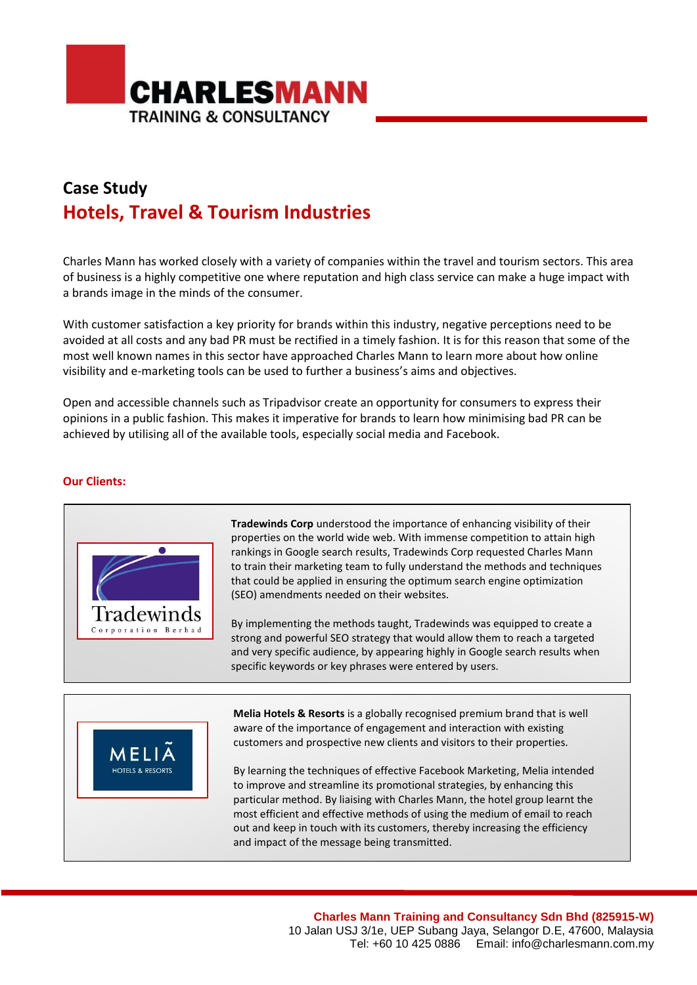

## **Case Study Hotels, Travel & Tourism Industries**

Charles Mann has worked closely with a variety of companies within the travel and tourism sectors. This area of business is a highly competitive one where reputation and high class service can make a huge impact with a brands image in the minds of the consumer.

With customer satisfaction a key priority for brands within this industry, negative perceptions need to be avoided at all costs and any bad PR must be rectified in a timely fashion. It is for this reason that some of the most well known names in this sector have approached Charles Mann to learn more about how online visibility and e-marketing tools can be used to further a business's aims and objectives.

Open and accessible channels such as Tripadvisor create an opportunity for consumers to express their opinions in a public fashion. This makes it imperative for brands to learn how minimising bad PR can be achieved by utilising all of the available tools, especially social media and Facebook.

## **Our Clients:**



**Tradewinds Corp** understood the importance of enhancing visibility of their properties on the world wide web. With immense competition to attain high rankings in Google search results, Tradewinds Corp requested Charles Mann to train their marketing team to fully understand the methods and techniques that could be applied in ensuring the optimum search engine optimization (SEO) amendments needed on their websites.

By implementing the methods taught, Tradewinds was equipped to create a strong and powerful SEO strategy that would allow them to reach a targeted and very specific audience, by appearing highly in Google search results when specific keywords or key phrases were entered by users.



**Melia Hotels & Resorts** is a globally recognised premium brand that is well aware of the importance of engagement and interaction with existing customers and prospective new clients and visitors to their properties.

By learning the techniques of effective Facebook Marketing, Melia intended to improve and streamline its promotional strategies, by enhancing this particular method. By liaising with Charles Mann, the hotel group learnt the most efficient and effective methods of using the medium of email to reach out and keep in touch with its customers, thereby increasing the efficiency and impact of the message being transmitted.

> **Charles Mann Training and Consultancy Sdn Bhd (825915-W)** 10 Jalan USJ 3/1e, UEP Subang Jaya, Selangor D.E, 47600, Malaysia Tel: +60 10 425 0886 Email: info@charlesmann.com.my